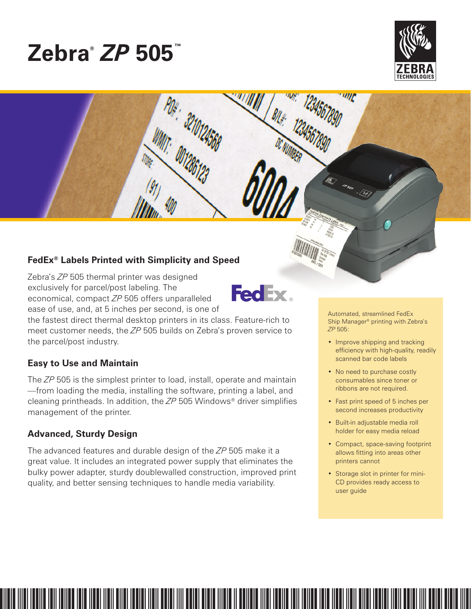# **Zebra®** *ZP* **505™**



# **FedEx® Labels Printed with Simplicity and Speed**

Zebra's *ZP* 505 thermal printer was designed exclusively for parcel/post labeling. The economical, compact *ZP* 505 offers unparalleled ease of use, and, at 5 inches per second, is one of



the fastest direct thermal desktop printers in its class. Feature-rich to meet customer needs, the *ZP* 505 builds on Zebra's proven service to the parcel/post industry.

## **Easy to Use and Maintain**

The *ZP* 505 is the simplest printer to load, install, operate and maintain —from loading the media, installing the software, printing a label, and cleaning printheads. In addition, the *ZP* 505 Windows® driver simplifies management of the printer.

## **Advanced, Sturdy Design**

The advanced features and durable design of the *ZP* 505 make it a great value. It includes an integrated power supply that eliminates the bulky power adapter, sturdy doublewalled construction, improved print quality, and better sensing techniques to handle media variability.

Automated, streamlined FedEx Ship Manager® printing with Zebra's *ZP* 505:

**WILE** 

- Improve shipping and tracking efficiency with high-quality, readily scanned bar code labels
- No need to purchase costly consumables since toner or ribbons are not required.
- Fast print speed of 5 inches per second increases productivity
- Built-in adjustable media roll holder for easy media reload
- Compact, space-saving footprint allows fitting into areas other printers cannot
- Storage slot in printer for mini-CD provides ready access to user guide